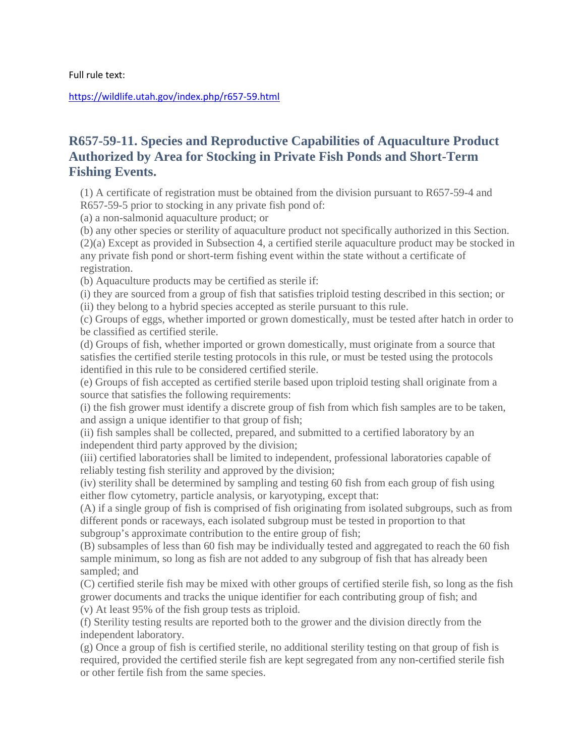Full rule text:

<https://wildlife.utah.gov/index.php/r657-59.html>

## **R657-59-11. Species and Reproductive Capabilities of Aquaculture Product Authorized by Area for Stocking in Private Fish Ponds and Short-Term Fishing Events.**

(1) A certificate of registration must be obtained from the division pursuant to R657-59-4 and R657-59-5 prior to stocking in any private fish pond of:

(a) a non-salmonid aquaculture product; or

(b) any other species or sterility of aquaculture product not specifically authorized in this Section. (2)(a) Except as provided in Subsection 4, a certified sterile aquaculture product may be stocked in any private fish pond or short-term fishing event within the state without a certificate of registration.

(b) Aquaculture products may be certified as sterile if:

(i) they are sourced from a group of fish that satisfies triploid testing described in this section; or (ii) they belong to a hybrid species accepted as sterile pursuant to this rule.

(c) Groups of eggs, whether imported or grown domestically, must be tested after hatch in order to be classified as certified sterile.

(d) Groups of fish, whether imported or grown domestically, must originate from a source that satisfies the certified sterile testing protocols in this rule, or must be tested using the protocols identified in this rule to be considered certified sterile.

(e) Groups of fish accepted as certified sterile based upon triploid testing shall originate from a source that satisfies the following requirements:

(i) the fish grower must identify a discrete group of fish from which fish samples are to be taken, and assign a unique identifier to that group of fish;

(ii) fish samples shall be collected, prepared, and submitted to a certified laboratory by an independent third party approved by the division;

(iii) certified laboratories shall be limited to independent, professional laboratories capable of reliably testing fish sterility and approved by the division;

(iv) sterility shall be determined by sampling and testing 60 fish from each group of fish using either flow cytometry, particle analysis, or karyotyping, except that:

(A) if a single group of fish is comprised of fish originating from isolated subgroups, such as from different ponds or raceways, each isolated subgroup must be tested in proportion to that subgroup's approximate contribution to the entire group of fish;

(B) subsamples of less than 60 fish may be individually tested and aggregated to reach the 60 fish sample minimum, so long as fish are not added to any subgroup of fish that has already been sampled; and

(C) certified sterile fish may be mixed with other groups of certified sterile fish, so long as the fish grower documents and tracks the unique identifier for each contributing group of fish; and (v) At least 95% of the fish group tests as triploid.

(f) Sterility testing results are reported both to the grower and the division directly from the independent laboratory.

(g) Once a group of fish is certified sterile, no additional sterility testing on that group of fish is required, provided the certified sterile fish are kept segregated from any non-certified sterile fish or other fertile fish from the same species.